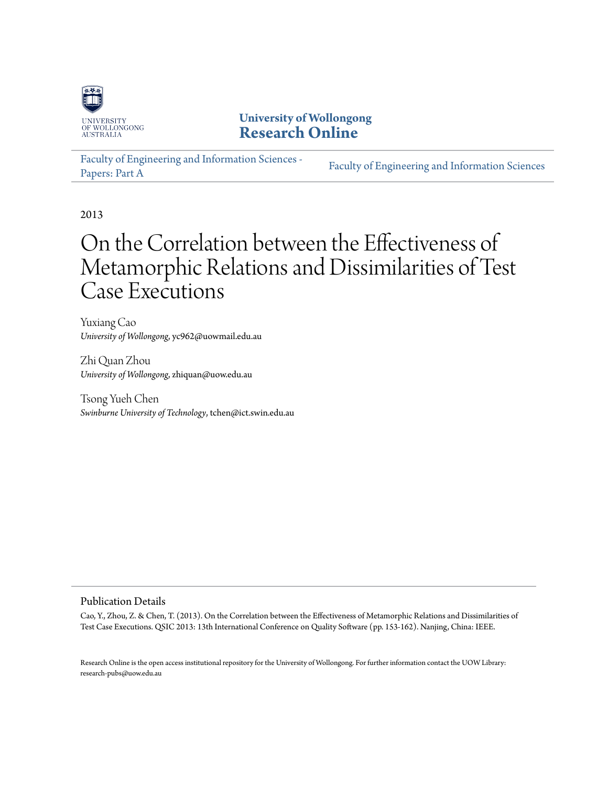

**University of Wollongong [Research Online](http://ro.uow.edu.au)**

[Faculty of Engineering and Information Sciences -](http://ro.uow.edu.au/eispapers) [Papers: Part A](http://ro.uow.edu.au/eispapers) [Faculty of Engineering and Information Sciences](http://ro.uow.edu.au/eis)

2013

# On the Correlation between the Effectiveness of Metamorphic Relations and Dissimilarities of Test Case Executions

Yuxiang Cao *University of Wollongong*, yc962@uowmail.edu.au

Zhi Quan Zhou *University of Wollongong*, zhiquan@uow.edu.au

Tsong Yueh Chen *Swinburne University of Technology*, tchen@ict.swin.edu.au

# Publication Details

Cao, Y., Zhou, Z. & Chen, T. (2013). On the Correlation between the Effectiveness of Metamorphic Relations and Dissimilarities of Test Case Executions. QSIC 2013: 13th International Conference on Quality Software (pp. 153-162). Nanjing, China: IEEE.

Research Online is the open access institutional repository for the University of Wollongong. For further information contact the UOW Library: research-pubs@uow.edu.au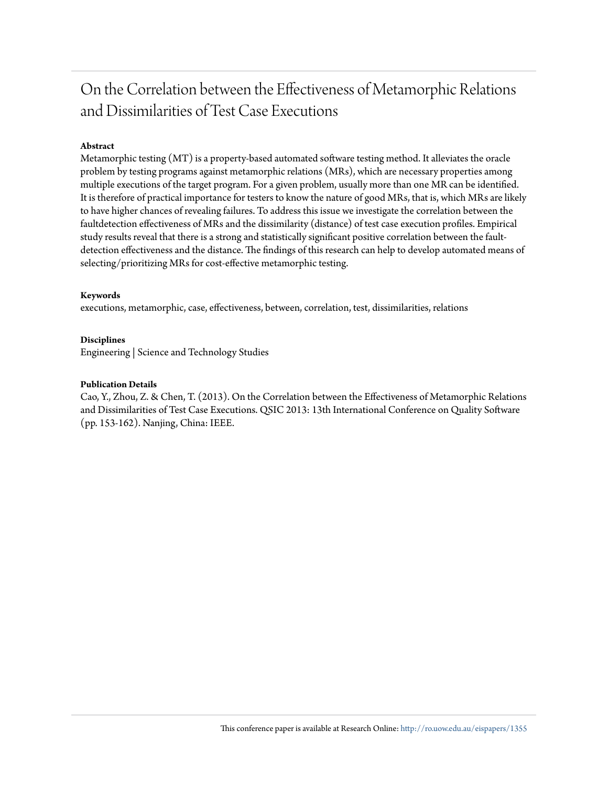# On the Correlation between the Effectiveness of Metamorphic Relations and Dissimilarities of Test Case Executions

# **Abstract**

Metamorphic testing (MT) is a property-based automated software testing method. It alleviates the oracle problem by testing programs against metamorphic relations (MRs), which are necessary properties among multiple executions of the target program. For a given problem, usually more than one MR can be identified. It is therefore of practical importance for testers to know the nature of good MRs, that is, which MRs are likely to have higher chances of revealing failures. To address this issue we investigate the correlation between the faultdetection effectiveness of MRs and the dissimilarity (distance) of test case execution profiles. Empirical study results reveal that there is a strong and statistically significant positive correlation between the faultdetection effectiveness and the distance. The findings of this research can help to develop automated means of selecting/prioritizing MRs for cost-effective metamorphic testing.

# **Keywords**

executions, metamorphic, case, effectiveness, between, correlation, test, dissimilarities, relations

# **Disciplines**

Engineering | Science and Technology Studies

# **Publication Details**

Cao, Y., Zhou, Z. & Chen, T. (2013). On the Correlation between the Effectiveness of Metamorphic Relations and Dissimilarities of Test Case Executions. QSIC 2013: 13th International Conference on Quality Software (pp. 153-162). Nanjing, China: IEEE.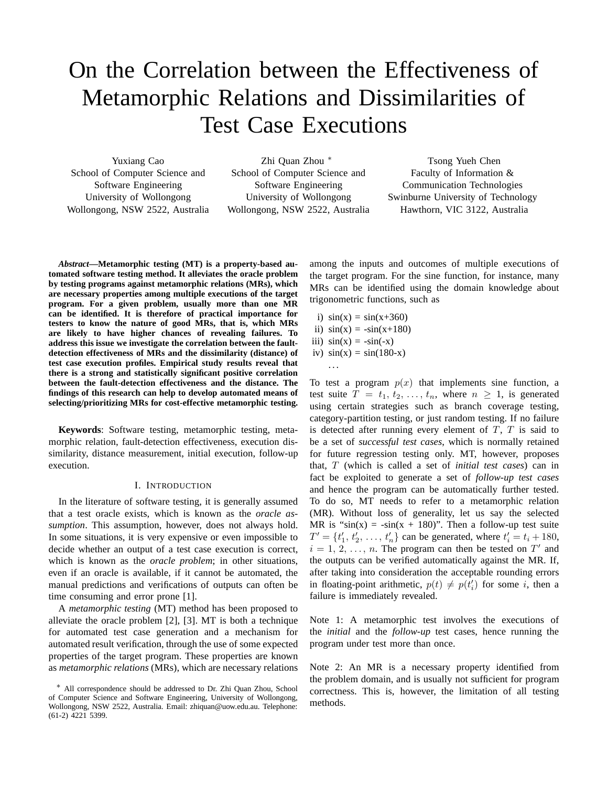# On the Correlation between the Effectiveness of Metamorphic Relations and Dissimilarities of Test Case Executions

Yuxiang Cao School of Computer Science and Software Engineering University of Wollongong Wollongong, NSW 2522, Australia

Zhi Quan Zhou <sup>∗</sup> School of Computer Science and Software Engineering University of Wollongong Wollongong, NSW 2522, Australia

Tsong Yueh Chen Faculty of Information & Communication Technologies Swinburne University of Technology Hawthorn, VIC 3122, Australia

*Abstract***—Metamorphic testing (MT) is a property-based automated software testing method. It alleviates the oracle problem by testing programs against metamorphic relations (MRs), which are necessary properties among multiple executions of the target program. For a given problem, usually more than one MR can be identified. It is therefore of practical importance for testers to know the nature of good MRs, that is, which MRs are likely to have higher chances of revealing failures. To address this issue we investigate the correlation between the faultdetection effectiveness of MRs and the dissimilarity (distance) of test case execution profiles. Empirical study results reveal that there is a strong and statistically significant positive correlation between the fault-detection effectiveness and the distance. The findings of this research can help to develop automated means of selecting/prioritizing MRs for cost-effective metamorphic testing.**

**Keywords**: Software testing, metamorphic testing, metamorphic relation, fault-detection effectiveness, execution dissimilarity, distance measurement, initial execution, follow-up execution.

#### I. INTRODUCTION

In the literature of software testing, it is generally assumed that a test oracle exists, which is known as the *oracle assumption*. This assumption, however, does not always hold. In some situations, it is very expensive or even impossible to decide whether an output of a test case execution is correct, which is known as the *oracle problem*; in other situations, even if an oracle is available, if it cannot be automated, the manual predictions and verifications of outputs can often be time consuming and error prone [1].

A *metamorphic testing* (MT) method has been proposed to alleviate the oracle problem [2], [3]. MT is both a technique for automated test case generation and a mechanism for automated result verification, through the use of some expected properties of the target program. These properties are known as *metamorphic relations* (MRs), which are necessary relations among the inputs and outcomes of multiple executions of the target program. For the sine function, for instance, many MRs can be identified using the domain knowledge about trigonometric functions, such as

- i)  $sin(x) = sin(x+360)$ ii)  $sin(x) = -sin(x+180)$ iii)  $sin(x) = -sin(-x)$ iv)  $sin(x) = sin(180-x)$
- . . .

To test a program  $p(x)$  that implements sine function, a test suite  $T = t_1, t_2, \ldots, t_n$ , where  $n \geq 1$ , is generated using certain strategies such as branch coverage testing, category-partition testing, or just random testing. If no failure is detected after running every element of  $T$ ,  $T$  is said to be a set of *successful test cases*, which is normally retained for future regression testing only. MT, however, proposes that, T (which is called a set of *initial test cases*) can in fact be exploited to generate a set of *follow-up test cases* and hence the program can be automatically further tested. To do so, MT needs to refer to a metamorphic relation (MR). Without loss of generality, let us say the selected MR is " $sin(x) = -sin(x + 180)$ ". Then a follow-up test suite  $T' = \{t'_1, t'_2, \ldots, t'_n\}$  can be generated, where  $t'_i = t_i + 180$ ,  $i = 1, 2, \ldots, n$ . The program can then be tested on T' and the outputs can be verified automatically against the MR. If, after taking into consideration the acceptable rounding errors in floating-point arithmetic,  $p(t) \neq p(t'_i)$  for some i, then a failure is immediately revealed.

Note 1: A metamorphic test involves the executions of the *initial* and the *follow-up* test cases, hence running the program under test more than once.

Note 2: An MR is a necessary property identified from the problem domain, and is usually not sufficient for program correctness. This is, however, the limitation of all testing methods.

<sup>∗</sup> All correspondence should be addressed to Dr. Zhi Quan Zhou, School of Computer Science and Software Engineering, University of Wollongong, Wollongong, NSW 2522, Australia. Email: zhiquan@uow.edu.au. Telephone: (61-2) 4221 5399.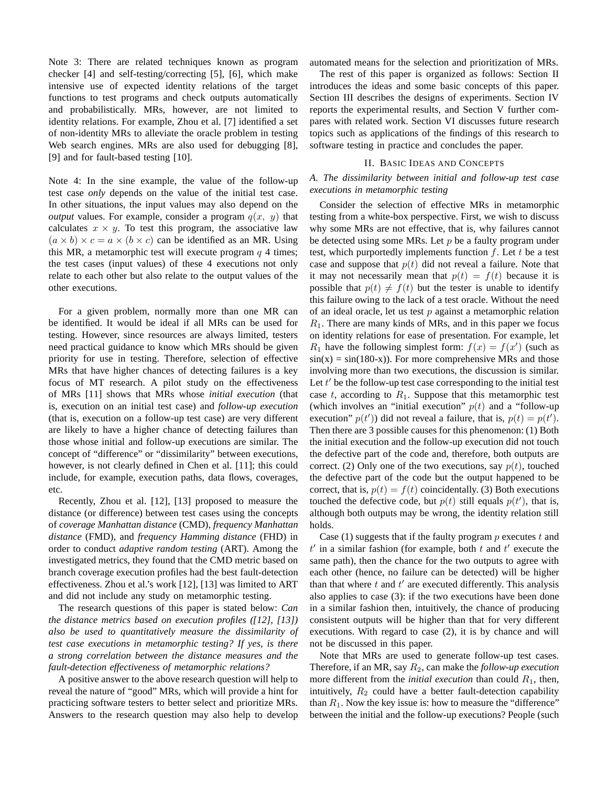Note 3: There are related techniques known as program checker [4] and self-testing/correcting [5], [6], which make intensive use of expected identity relations of the target functions to test programs and check outputs automatically and probabilistically. MRs, however, are not limited to identity relations. For example, Zhou et al. [7] identified a set of non-identity MRs to alleviate the oracle problem in testing Web search engines. MRs are also used for debugging [8], [9] and for fault-based testing [10].

Note 4: In the sine example, the value of the follow-up test case *only* depends on the value of the initial test case. In other situations, the input values may also depend on the *output* values. For example, consider a program  $q(x, y)$  that calculates  $x \times y$ . To test this program, the associative law  $(a \times b) \times c = a \times (b \times c)$  can be identified as an MR. Using this MR, a metamorphic test will execute program  $q$  4 times; the test cases (input values) of these 4 executions not only relate to each other but also relate to the output values of the other executions.

For a given problem, normally more than one MR can be identified. It would be ideal if all MRs can be used for testing. However, since resources are always limited, testers need practical guidance to know which MRs should be given priority for use in testing. Therefore, selection of effective MRs that have higher chances of detecting failures is a key focus of MT research. A pilot study on the effectiveness of MRs [11] shows that MRs whose *initial execution* (that is, execution on an initial test case) and *follow-up execution* (that is, execution on a follow-up test case) are very different are likely to have a higher chance of detecting failures than those whose initial and follow-up executions are similar. The concept of "difference" or "dissimilarity" between executions, however, is not clearly defined in Chen et al. [11]; this could include, for example, execution paths, data flows, coverages, etc.

Recently, Zhou et al. [12], [13] proposed to measure the distance (or difference) between test cases using the concepts of *coverage Manhattan distance* (CMD), *frequency Manhattan distance* (FMD), and *frequency Hamming distance* (FHD) in order to conduct *adaptive random testing* (ART). Among the investigated metrics, they found that the CMD metric based on branch coverage execution profiles had the best fault-detection effectiveness. Zhou et al.'s work [12], [13] was limited to ART and did not include any study on metamorphic testing.

The research questions of this paper is stated below: *Can the distance metrics based on execution profiles ([12], [13]) also be used to quantitatively measure the dissimilarity of test case executions in metamorphic testing? If yes, is there a strong correlation between the distance measures and the fault-detection effectiveness of metamorphic relations?*

A positive answer to the above research question will help to reveal the nature of "good" MRs, which will provide a hint for practicing software testers to better select and prioritize MRs. Answers to the research question may also help to develop automated means for the selection and prioritization of MRs.

The rest of this paper is organized as follows: Section II introduces the ideas and some basic concepts of this paper. Section III describes the designs of experiments. Section IV reports the experimental results, and Section V further compares with related work. Section VI discusses future research topics such as applications of the findings of this research to software testing in practice and concludes the paper.

#### II. BASIC IDEAS AND CONCEPTS

# *A. The dissimilarity between initial and follow-up test case executions in metamorphic testing*

Consider the selection of effective MRs in metamorphic testing from a white-box perspective. First, we wish to discuss why some MRs are not effective, that is, why failures cannot be detected using some MRs. Let  $p$  be a faulty program under test, which purportedly implements function  $f$ . Let  $t$  be a test case and suppose that  $p(t)$  did not reveal a failure. Note that it may not necessarily mean that  $p(t) = f(t)$  because it is possible that  $p(t) \neq f(t)$  but the tester is unable to identify this failure owing to the lack of a test oracle. Without the need of an ideal oracle, let us test  $p$  against a metamorphic relation  $R_1$ . There are many kinds of MRs, and in this paper we focus on identity relations for ease of presentation. For example, let  $R_1$  have the following simplest form:  $f(x) = f(x')$  (such as  $sin(x) = sin(180-x)$ . For more comprehensive MRs and those involving more than two executions, the discussion is similar. Let  $t'$  be the follow-up test case corresponding to the initial test case t, according to  $R_1$ . Suppose that this metamorphic test (which involves an "initial execution"  $p(t)$  and a "follow-up") execution"  $p(t')$ ) did not reveal a failure, that is,  $p(t) = p(t')$ . Then there are 3 possible causes for this phenomenon: (1) Both the initial execution and the follow-up execution did not touch the defective part of the code and, therefore, both outputs are correct. (2) Only one of the two executions, say  $p(t)$ , touched the defective part of the code but the output happened to be correct, that is,  $p(t) = f(t)$  coincidentally. (3) Both executions touched the defective code, but  $p(t)$  still equals  $p(t')$ , that is, although both outputs may be wrong, the identity relation still holds.

Case (1) suggests that if the faulty program  $p$  executes  $t$  and  $t'$  in a similar fashion (for example, both  $t$  and  $t'$  execute the same path), then the chance for the two outputs to agree with each other (hence, no failure can be detected) will be higher than that where  $t$  and  $t'$  are executed differently. This analysis also applies to case (3): if the two executions have been done in a similar fashion then, intuitively, the chance of producing consistent outputs will be higher than that for very different executions. With regard to case (2), it is by chance and will not be discussed in this paper.

Note that MRs are used to generate follow-up test cases. Therefore, if an MR, say  $R_2$ , can make the *follow-up execution* more different from the *initial execution* than could  $R_1$ , then, intuitively,  $R_2$  could have a better fault-detection capability than  $R_1$ . Now the key issue is: how to measure the "difference" between the initial and the follow-up executions? People (such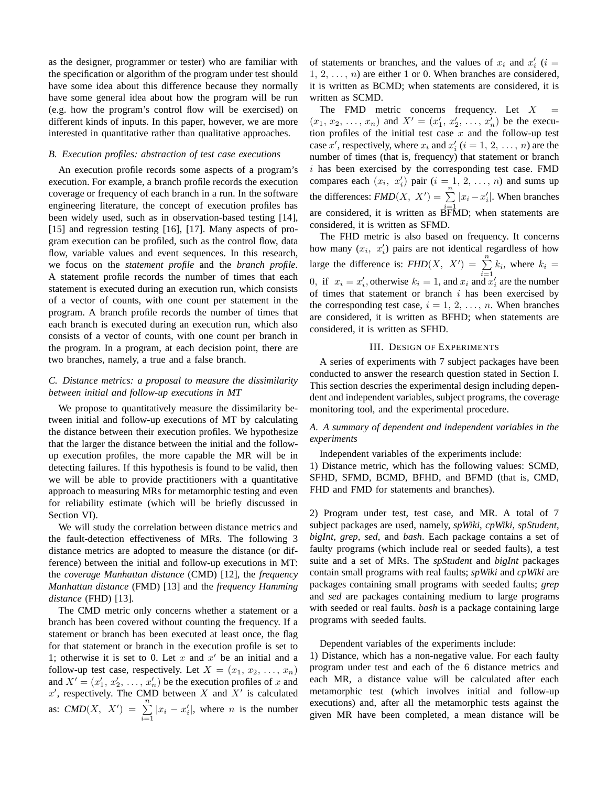as the designer, programmer or tester) who are familiar with the specification or algorithm of the program under test should have some idea about this difference because they normally have some general idea about how the program will be run (e.g. how the program's control flow will be exercised) on different kinds of inputs. In this paper, however, we are more interested in quantitative rather than qualitative approaches.

#### *B. Execution profiles: abstraction of test case executions*

An execution profile records some aspects of a program's execution. For example, a branch profile records the execution coverage or frequency of each branch in a run. In the software engineering literature, the concept of execution profiles has been widely used, such as in observation-based testing [14], [15] and regression testing [16], [17]. Many aspects of program execution can be profiled, such as the control flow, data flow, variable values and event sequences. In this research, we focus on the *statement profile* and the *branch profile*. A statement profile records the number of times that each statement is executed during an execution run, which consists of a vector of counts, with one count per statement in the program. A branch profile records the number of times that each branch is executed during an execution run, which also consists of a vector of counts, with one count per branch in the program. In a program, at each decision point, there are two branches, namely, a true and a false branch.

### *C. Distance metrics: a proposal to measure the dissimilarity between initial and follow-up executions in MT*

We propose to quantitatively measure the dissimilarity between initial and follow-up executions of MT by calculating the distance between their execution profiles. We hypothesize that the larger the distance between the initial and the followup execution profiles, the more capable the MR will be in detecting failures. If this hypothesis is found to be valid, then we will be able to provide practitioners with a quantitative approach to measuring MRs for metamorphic testing and even for reliability estimate (which will be briefly discussed in Section VI).

We will study the correlation between distance metrics and the fault-detection effectiveness of MRs. The following 3 distance metrics are adopted to measure the distance (or difference) between the initial and follow-up executions in MT: the *coverage Manhattan distance* (CMD) [12], the *frequency Manhattan distance* (FMD) [13] and the *frequency Hamming distance* (FHD) [13].

The CMD metric only concerns whether a statement or a branch has been covered without counting the frequency. If a statement or branch has been executed at least once, the flag for that statement or branch in the execution profile is set to 1; otherwise it is set to 0. Let  $x$  and  $x'$  be an initial and a follow-up test case, respectively. Let  $X = (x_1, x_2, \ldots, x_n)$ and  $X' = (x'_1, x'_2, \ldots, x'_n)$  be the execution profiles of x and x', respectively. The CMD between X and  $X'$  is calculated as: *CMD*(*X*, *X'*) =  $\sum_{i=1}^{n} |x_i - x'_i|$ , where *n* is the number

of statements or branches, and the values of  $x_i$  and  $x'_i$  (i =  $1, 2, \ldots, n$  are either 1 or 0. When branches are considered, it is written as BCMD; when statements are considered, it is written as SCMD.

The FMD metric concerns frequency. Let  $X$  $(x_1, x_2, ..., x_n)$  and  $X' = (x'_1, x'_2, ..., x'_n)$  be the execution profiles of the initial test case  $x$  and the follow-up test case x', respectively, where  $x_i$  and  $x'_i$  ( $i = 1, 2, ..., n$ ) are the number of times (that is, frequency) that statement or branch  $i$  has been exercised by the corresponding test case. FMD compares each  $(x_i, x'_i)$  pair  $(i = 1, 2, ..., n)$  and sums up the differences:  $FMD(X, X') = \sum_{i=1}^{n} |x_i - x'_i|$ . When branches are considered, it is written as  $\overline{\text{BFMD}}$ ; when statements are considered, it is written as SFMD.

The FHD metric is also based on frequency. It concerns how many  $(x_i, x'_i)$  pairs are not identical regardless of how large the difference is:  $FHD(X, X') = \sum_{i=1}^{n} k_i$ , where  $k_i =$ 0, if  $x_i = x'_i$ , otherwise  $k_i = 1$ , and  $x_i$  and  $x'_i$  are the number of times that statement or branch  $i$  has been exercised by the corresponding test case,  $i = 1, 2, ..., n$ . When branches are considered, it is written as BFHD; when statements are considered, it is written as SFHD.

#### III. DESIGN OF EXPERIMENTS

A series of experiments with 7 subject packages have been conducted to answer the research question stated in Section I. This section descries the experimental design including dependent and independent variables, subject programs, the coverage monitoring tool, and the experimental procedure.

## *A. A summary of dependent and independent variables in the experiments*

Independent variables of the experiments include: 1) Distance metric, which has the following values: SCMD, SFHD, SFMD, BCMD, BFHD, and BFMD (that is, CMD, FHD and FMD for statements and branches).

2) Program under test, test case, and MR. A total of 7 subject packages are used, namely, *spWiki*, *cpWiki*, *spStudent*, *bigInt*, *grep*, *sed*, and *bash*. Each package contains a set of faulty programs (which include real or seeded faults), a test suite and a set of MRs. The *spStudent* and *bigInt* packages contain small programs with real faults; *spWiki* and *cpWiki* are packages containing small programs with seeded faults; *grep* and *sed* are packages containing medium to large programs with seeded or real faults. *bash* is a package containing large programs with seeded faults.

Dependent variables of the experiments include:

1) Distance, which has a non-negative value. For each faulty program under test and each of the 6 distance metrics and each MR, a distance value will be calculated after each metamorphic test (which involves initial and follow-up executions) and, after all the metamorphic tests against the given MR have been completed, a mean distance will be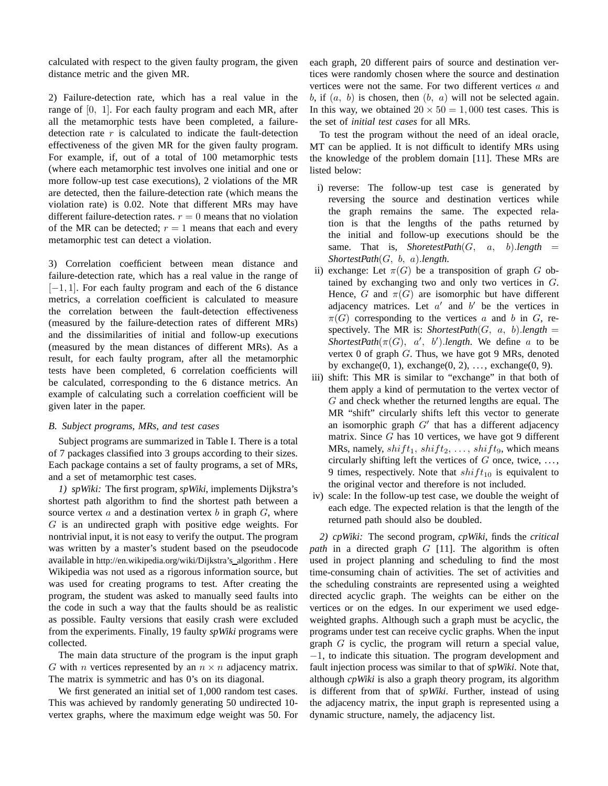calculated with respect to the given faulty program, the given distance metric and the given MR.

2) Failure-detection rate, which has a real value in the range of [0, 1]. For each faulty program and each MR, after all the metamorphic tests have been completed, a failuredetection rate  $r$  is calculated to indicate the fault-detection effectiveness of the given MR for the given faulty program. For example, if, out of a total of 100 metamorphic tests (where each metamorphic test involves one initial and one or more follow-up test case executions), 2 violations of the MR are detected, then the failure-detection rate (which means the violation rate) is 0.02. Note that different MRs may have different failure-detection rates.  $r = 0$  means that no violation of the MR can be detected;  $r = 1$  means that each and every metamorphic test can detect a violation.

3) Correlation coefficient between mean distance and failure-detection rate, which has a real value in the range of  $[-1, 1]$ . For each faulty program and each of the 6 distance metrics, a correlation coefficient is calculated to measure the correlation between the fault-detection effectiveness (measured by the failure-detection rates of different MRs) and the dissimilarities of initial and follow-up executions (measured by the mean distances of different MRs). As a result, for each faulty program, after all the metamorphic tests have been completed, 6 correlation coefficients will be calculated, corresponding to the 6 distance metrics. An example of calculating such a correlation coefficient will be given later in the paper.

#### *B. Subject programs, MRs, and test cases*

Subject programs are summarized in Table I. There is a total of 7 packages classified into 3 groups according to their sizes. Each package contains a set of faulty programs, a set of MRs, and a set of metamorphic test cases.

*1) spWiki:* The first program, *spWiki*, implements Dijkstra's shortest path algorithm to find the shortest path between a source vertex  $a$  and a destination vertex  $b$  in graph  $G$ , where G is an undirected graph with positive edge weights. For nontrivial input, it is not easy to verify the output. The program was written by a master's student based on the pseudocode available in http://en.wikipedia.org/wiki/Dijkstra's algorithm . Here Wikipedia was not used as a rigorous information source, but was used for creating programs to test. After creating the program, the student was asked to manually seed faults into the code in such a way that the faults should be as realistic as possible. Faulty versions that easily crash were excluded from the experiments. Finally, 19 faulty *spWiki* programs were collected.

The main data structure of the program is the input graph G with *n* vertices represented by an  $n \times n$  adjacency matrix. The matrix is symmetric and has 0's on its diagonal.

We first generated an initial set of 1,000 random test cases. This was achieved by randomly generating 50 undirected 10 vertex graphs, where the maximum edge weight was 50. For each graph, 20 different pairs of source and destination vertices were randomly chosen where the source and destination vertices were not the same. For two different vertices a and b, if  $(a, b)$  is chosen, then  $(b, a)$  will not be selected again. In this way, we obtained  $20 \times 50 = 1,000$  test cases. This is the set of *initial test cases* for all MRs.

To test the program without the need of an ideal oracle, MT can be applied. It is not difficult to identify MRs using the knowledge of the problem domain [11]. These MRs are listed below:

- i) reverse: The follow-up test case is generated by reversing the source and destination vertices while the graph remains the same. The expected relation is that the lengths of the paths returned by the initial and follow-up executions should be the same. That is, *ShoretestPath* $(G, a, b)$ *.length* = *ShortestPath*(G, b, a).*length*.
- ii) exchange: Let  $\pi(G)$  be a transposition of graph G obtained by exchanging two and only two vertices in G. Hence, G and  $\pi(G)$  are isomorphic but have different adjacency matrices. Let  $a'$  and  $b'$  be the vertices in  $\pi(G)$  corresponding to the vertices a and b in G, respectively. The MR is: *ShortestPath*( $G$ ,  $a$ ,  $b$ ).*length* =  $\textit{ShortestPath}(\pi(G), a', b')$ .*length*. We define a to be vertex 0 of graph G. Thus, we have got 9 MRs, denoted by exchange $(0, 1)$ , exchange $(0, 2)$ , ..., exchange $(0, 9)$ .
- iii) shift: This MR is similar to "exchange" in that both of them apply a kind of permutation to the vertex vector of G and check whether the returned lengths are equal. The MR "shift" circularly shifts left this vector to generate an isomorphic graph  $G'$  that has a different adjacency matrix. Since  $G$  has 10 vertices, we have got 9 different MRs, namely,  $shift_1, shift_2, ..., shift_9$ , which means circularly shifting left the vertices of  $G$  once, twice,  $\dots$ , 9 times, respectively. Note that  $shift_{10}$  is equivalent to the original vector and therefore is not included.
- iv) scale: In the follow-up test case, we double the weight of each edge. The expected relation is that the length of the returned path should also be doubled.

*2) cpWiki:* The second program, *cpWiki*, finds the *critical path* in a directed graph G [11]. The algorithm is often used in project planning and scheduling to find the most time-consuming chain of activities. The set of activities and the scheduling constraints are represented using a weighted directed acyclic graph. The weights can be either on the vertices or on the edges. In our experiment we used edgeweighted graphs. Although such a graph must be acyclic, the programs under test can receive cyclic graphs. When the input graph  $G$  is cyclic, the program will return a special value, −1, to indicate this situation. The program development and fault injection process was similar to that of *spWiki*. Note that, although *cpWiki* is also a graph theory program, its algorithm is different from that of *spWiki*. Further, instead of using the adjacency matrix, the input graph is represented using a dynamic structure, namely, the adjacency list.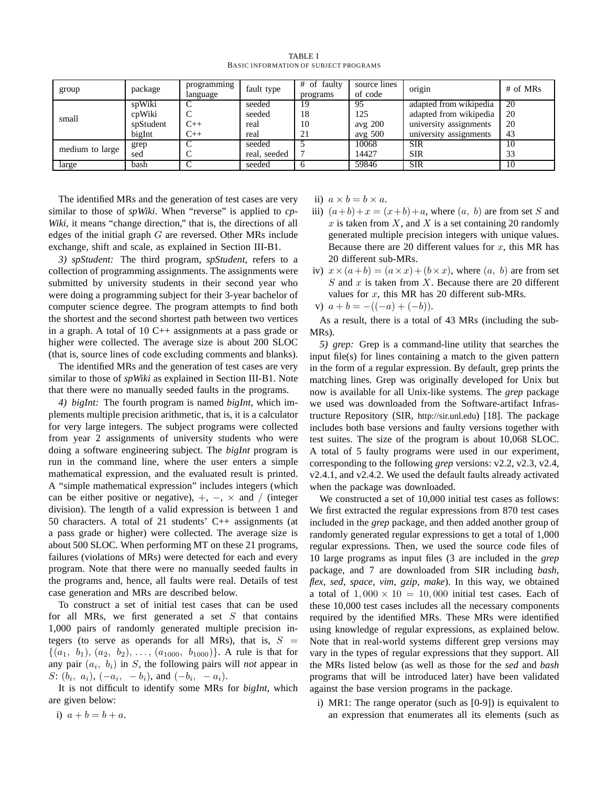TABLE I BASIC INFORMATION OF SUBJECT PROGRAMS

| group           | package   | programming<br>language | fault type   | # of faulty<br>programs | source lines<br>of code | origin                 | $#$ of MRs |
|-----------------|-----------|-------------------------|--------------|-------------------------|-------------------------|------------------------|------------|
| small           | spWiki    |                         | seeded       | 19                      | 95                      | adapted from wikipedia | 20         |
|                 | cpWiki    | C                       | seeded       | 18                      | 125                     | adapted from wikipedia | 20         |
|                 | spStudent | $C++$                   | real         | 10                      | avg $200$               | university assignments | 20         |
|                 | bigInt    | $C++$                   | real         | 21                      | avg $500$               | university assignments | 43         |
| medium to large | grep      | $\curvearrowright$      | seeded       |                         | 10068                   | <b>SIR</b>             | 10         |
|                 | sed       |                         | real, seeded |                         | 14427                   | <b>SIR</b>             | 33         |
| large           | bash      |                         | seeded       |                         | 59846                   | <b>SIR</b>             | 10         |

The identified MRs and the generation of test cases are very similar to those of *spWiki*. When "reverse" is applied to *cp-Wiki*, it means "change direction," that is, the directions of all edges of the initial graph  $G$  are reversed. Other MRs include exchange, shift and scale, as explained in Section III-B1.

*3) spStudent:* The third program, *spStudent*, refers to a collection of programming assignments. The assignments were submitted by university students in their second year who were doing a programming subject for their 3-year bachelor of computer science degree. The program attempts to find both the shortest and the second shortest path between two vertices in a graph. A total of  $10 \text{ C++}$  assignments at a pass grade or higher were collected. The average size is about 200 SLOC (that is, source lines of code excluding comments and blanks).

The identified MRs and the generation of test cases are very similar to those of *spWiki* as explained in Section III-B1. Note that there were no manually seeded faults in the programs.

*4) bigInt:* The fourth program is named *bigInt*, which implements multiple precision arithmetic, that is, it is a calculator for very large integers. The subject programs were collected from year 2 assignments of university students who were doing a software engineering subject. The *bigInt* program is run in the command line, where the user enters a simple mathematical expression, and the evaluated result is printed. A "simple mathematical expression" includes integers (which can be either positive or negative),  $+$ ,  $-$ ,  $\times$  and  $/$  (integer division). The length of a valid expression is between 1 and 50 characters. A total of 21 students' C++ assignments (at a pass grade or higher) were collected. The average size is about 500 SLOC. When performing MT on these 21 programs, failures (violations of MRs) were detected for each and every program. Note that there were no manually seeded faults in the programs and, hence, all faults were real. Details of test case generation and MRs are described below.

To construct a set of initial test cases that can be used for all MRs, we first generated a set  $S$  that contains 1,000 pairs of randomly generated multiple precision integers (to serve as operands for all MRs), that is,  $S =$  $\{(a_1, b_1), (a_2, b_2), \ldots, (a_{1000}, b_{1000})\}$ . A rule is that for any pair  $(a_i, b_i)$  in S, the following pairs will *not* appear in S:  $(b_i, a_i)$ ,  $(-a_i, -b_i)$ , and  $(-b_i, -a_i)$ .

It is not difficult to identify some MRs for *bigInt*, which are given below:

i) 
$$
a+b=b+a.
$$

ii)  $a \times b = b \times a$ .

- iii)  $(a+b)+x = (x+b)+a$ , where  $(a, b)$  are from set S and  $x$  is taken from  $X$ , and  $X$  is a set containing 20 randomly generated multiple precision integers with unique values. Because there are 20 different values for  $x$ , this MR has 20 different sub-MRs.
- iv)  $x \times (a+b) = (a \times x) + (b \times x)$ , where  $(a, b)$  are from set  $S$  and  $x$  is taken from  $X$ . Because there are 20 different values for  $x$ , this MR has 20 different sub-MRs.
- v)  $a + b = -((-a) + (-b)).$

As a result, there is a total of 43 MRs (including the sub-MRs).

*5) grep:* Grep is a command-line utility that searches the input file(s) for lines containing a match to the given pattern in the form of a regular expression. By default, grep prints the matching lines. Grep was originally developed for Unix but now is available for all Unix-like systems. The *grep* package we used was downloaded from the Software-artifact Infrastructure Repository (SIR, http://sir.unl.edu) [18]. The package includes both base versions and faulty versions together with test suites. The size of the program is about 10,068 SLOC. A total of 5 faulty programs were used in our experiment, corresponding to the following *grep* versions: v2.2, v2.3, v2.4, v2.4.1, and v2.4.2. We used the default faults already activated when the package was downloaded.

We constructed a set of 10,000 initial test cases as follows: We first extracted the regular expressions from 870 test cases included in the *grep* package, and then added another group of randomly generated regular expressions to get a total of 1,000 regular expressions. Then, we used the source code files of 10 large programs as input files (3 are included in the *grep* package, and 7 are downloaded from SIR including *bash*, *flex*, *sed*, *space*, *vim*, *gzip*, *make*). In this way, we obtained a total of  $1,000 \times 10 = 10,000$  initial test cases. Each of these 10,000 test cases includes all the necessary components required by the identified MRs. These MRs were identified using knowledge of regular expressions, as explained below. Note that in real-world systems different grep versions may vary in the types of regular expressions that they support. All the MRs listed below (as well as those for the *sed* and *bash* programs that will be introduced later) have been validated against the base version programs in the package.

i) MR1: The range operator (such as [0-9]) is equivalent to an expression that enumerates all its elements (such as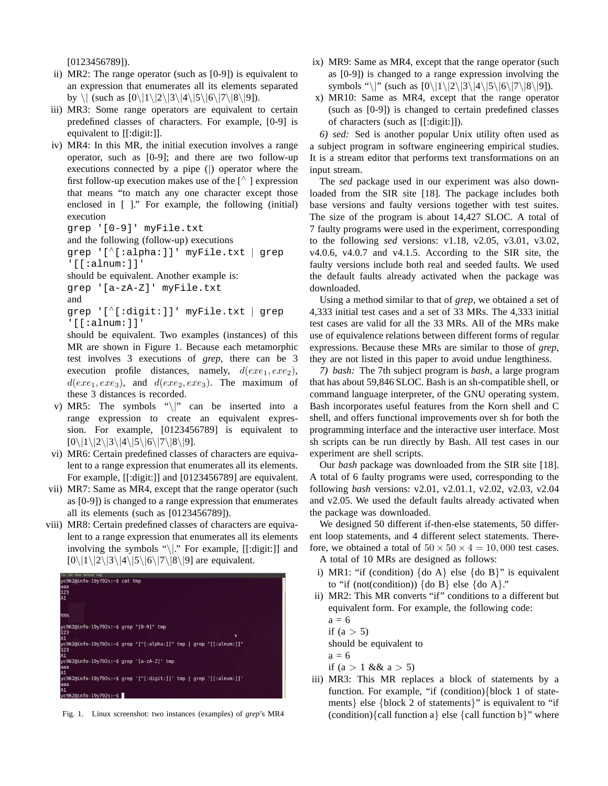[0123456789]).

- ii) MR2: The range operator (such as [0-9]) is equivalent to an expression that enumerates all its elements separated by \| (such as  $[0\langle 1\rangle/2\langle 3\rangle/4\langle 5\rangle/6\langle 7\rangle/8\langle 9]$ ).
- iii) MR3: Some range operators are equivalent to certain predefined classes of characters. For example, [0-9] is equivalent to [[:digit:]].
- iv) MR4: In this MR, the initial execution involves a range operator, such as [0-9]; and there are two follow-up executions connected by a pipe (|) operator where the first follow-up execution makes use of the  $\lceil \wedge \rceil$  expression that means "to match any one character except those enclosed in [ ]." For example, the following (initial) execution

```
grep '[0-9]' myFile.txt
```

```
and the following (follow-up) executions
```

```
grep '[∧[:alpha:]]' myFile.txt | grep
'[[:alnum:]]'
should be equivalent. Another example is:
```
grep '[a-zA-Z]' myFile.txt

```
and
```
grep '[∧[:digit:]]' myFile.txt | grep '[[:alnum:]]'

should be equivalent. Two examples (instances) of this MR are shown in Figure 1. Because each metamorphic test involves 3 executions of *grep*, there can be 3 execution profile distances, namely,  $d(exe_1,exe_2)$ ,  $d(exe_1,exe_3)$ , and  $d(exe_2,exe_3)$ . The maximum of these 3 distances is recorded.

- v) MR5: The symbols " $\langle \cdot \rangle$ " can be inserted into a range expression to create an equivalent expression. For example, [0123456789] is equivalent to  $[0\backslash |1\backslash |2\backslash |3\backslash |4\backslash |5\backslash |6\backslash |7\backslash |8\backslash |9].$
- vi) MR6: Certain predefined classes of characters are equivalent to a range expression that enumerates all its elements. For example, [[:digit:]] and [0123456789] are equivalent.
- vii) MR7: Same as MR4, except that the range operator (such as [0-9]) is changed to a range expression that enumerates all its elements (such as [0123456789]).
- viii) MR8: Certain predefined classes of characters are equivalent to a range expression that enumerates all its elements involving the symbols "\|." For example, [[:digit:]] and  $[0\langle 1\langle 2\rangle|3\rangle|4\rangle|5\rangle|6\rangle|7\rangle|8\rangle|9]$  are equivalent.



Fig. 1. Linux screenshot: two instances (examples) of *grep*'s MR4

- ix) MR9: Same as MR4, except that the range operator (such as [0-9]) is changed to a range expression involving the symbols "\|" (such as  $[0\setminus|1\setminus|2\setminus|3\setminus|4\setminus|5\setminus|6\setminus|7\setminus|8\setminus|9]$ ).
- x) MR10: Same as MR4, except that the range operator (such as [0-9]) is changed to certain predefined classes of characters (such as [[:digit:]]).

*6) sed:* Sed is another popular Unix utility often used as a subject program in software engineering empirical studies. It is a stream editor that performs text transformations on an input stream.

The *sed* package used in our experiment was also downloaded from the SIR site [18]. The package includes both base versions and faulty versions together with test suites. The size of the program is about 14,427 SLOC. A total of 7 faulty programs were used in the experiment, corresponding to the following *sed* versions: v1.18, v2.05, v3.01, v3.02, v4.0.6, v4.0.7 and v4.1.5. According to the SIR site, the faulty versions include both real and seeded faults. We used the default faults already activated when the package was downloaded.

Using a method similar to that of *grep*, we obtained a set of 4,333 initial test cases and a set of 33 MRs. The 4,333 initial test cases are valid for all the 33 MRs. All of the MRs make use of equivalence relations between different forms of regular expressions. Because these MRs are similar to those of *grep*, they are not listed in this paper to avoid undue lengthiness.

*7) bash:* The 7th subject program is *bash*, a large program that has about 59,846 SLOC. Bash is an sh-compatible shell, or command language interpreter, of the GNU operating system. Bash incorporates useful features from the Korn shell and C shell, and offers functional improvements over sh for both the programming interface and the interactive user interface. Most sh scripts can be run directly by Bash. All test cases in our experiment are shell scripts.

Our *bash* package was downloaded from the SIR site [18]. A total of 6 faulty programs were used, corresponding to the following *bash* versions: v2.01, v2.01.1, v2.02, v2.03, v2.04 and v2.05. We used the default faults already activated when the package was downloaded.

We designed 50 different if-then-else statements, 50 different loop statements, and 4 different select statements. Therefore, we obtained a total of  $50 \times 50 \times 4 = 10,000$  test cases.

- A total of 10 MRs are designed as follows:
- i) MR1: "if (condition)  $\{do A\}$  else  $\{do B\}$ " is equivalent to "if (not(condition)) {do B} else {do A}."
- ii) MR2: This MR converts "if" conditions to a different but equivalent form. For example, the following code:

```
a = 6if (a > 5)should be equivalent to
```
- $a = 6$
- if  $(a > 1 \&\& a > 5)$
- iii) MR3: This MR replaces a block of statements by a function. For example, "if (condition){block 1 of statements} else {block 2 of statements}" is equivalent to "if (condition) $\{$  call function a $\}$  else  $\{$  call function b $\}'$  where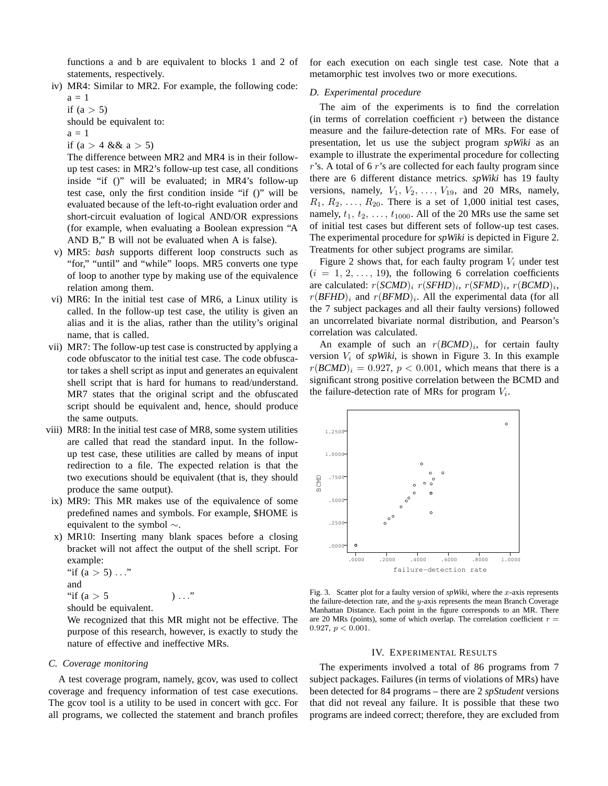functions a and b are equivalent to blocks 1 and 2 of statements, respectively.

iv) MR4: Similar to MR2. For example, the following code:  $a = 1$ 

if  $(a > 5)$ should be equivalent to:  $a = 1$ if  $(a > 4 \& a > 5)$ 

The difference between MR2 and MR4 is in their followup test cases: in MR2's follow-up test case, all conditions inside "if ()" will be evaluated; in MR4's follow-up test case, only the first condition inside "if ()" will be evaluated because of the left-to-right evaluation order and short-circuit evaluation of logical AND/OR expressions (for example, when evaluating a Boolean expression "A AND B," B will not be evaluated when A is false).

- v) MR5: *bash* supports different loop constructs such as "for," "until" and "while" loops. MR5 converts one type of loop to another type by making use of the equivalence relation among them.
- vi) MR6: In the initial test case of MR6, a Linux utility is called. In the follow-up test case, the utility is given an alias and it is the alias, rather than the utility's original name, that is called.
- vii) MR7: The follow-up test case is constructed by applying a code obfuscator to the initial test case. The code obfuscator takes a shell script as input and generates an equivalent shell script that is hard for humans to read/understand. MR7 states that the original script and the obfuscated script should be equivalent and, hence, should produce the same outputs.
- viii) MR8: In the initial test case of MR8, some system utilities are called that read the standard input. In the followup test case, these utilities are called by means of input redirection to a file. The expected relation is that the two executions should be equivalent (that is, they should produce the same output).
- ix) MR9: This MR makes use of the equivalence of some predefined names and symbols. For example, \$HOME is equivalent to the symbol ∼.
- x) MR10: Inserting many blank spaces before a closing bracket will not affect the output of the shell script. For example:

"if  $(a > 5) ...$ " and "if  $(a > 5$  ) ..."

should be equivalent.

We recognized that this MR might not be effective. The purpose of this research, however, is exactly to study the nature of effective and ineffective MRs.

#### *C. Coverage monitoring*

A test coverage program, namely, gcov, was used to collect coverage and frequency information of test case executions. The gcov tool is a utility to be used in concert with gcc. For all programs, we collected the statement and branch profiles

for each execution on each single test case. Note that a metamorphic test involves two or more executions.

#### *D. Experimental procedure*

The aim of the experiments is to find the correlation (in terms of correlation coefficient  $r$ ) between the distance measure and the failure-detection rate of MRs. For ease of presentation, let us use the subject program *spWiki* as an example to illustrate the experimental procedure for collecting  $r$ 's. A total of 6  $r$ 's are collected for each faulty program since there are 6 different distance metrics. *spWiki* has 19 faulty versions, namely,  $V_1, V_2, \ldots, V_{19}$ , and 20 MRs, namely,  $R_1, R_2, \ldots, R_{20}$ . There is a set of 1,000 initial test cases, namely,  $t_1, t_2, \ldots, t_{1000}$ . All of the 20 MRs use the same set of initial test cases but different sets of follow-up test cases. The experimental procedure for *spWiki* is depicted in Figure 2. Treatments for other subject programs are similar.

Figure 2 shows that, for each faulty program  $V_i$  under test  $(i = 1, 2, \ldots, 19)$ , the following 6 correlation coefficients are calculated:  $r(SCMD)_i \, r(SFHD)_i, \, r(SFMD)_i, \, r(BCMD)_i,$  $r(BFHD)_i$  and  $r(BFMD)_i$ . All the experimental data (for all the 7 subject packages and all their faulty versions) followed an uncorrelated bivariate normal distribution, and Pearson's correlation was calculated.

An example of such an  $r(BCMD)_i$ , for certain faulty version  $V_i$  of *spWiki*, is shown in Figure 3. In this example  $r(BCMD)_i = 0.927, p < 0.001$ , which means that there is a significant strong positive correlation between the BCMD and the failure-detection rate of MRs for program  $V_i$ .



Fig. 3. Scatter plot for a faulty version of *spWiki*, where the x-axis represents the failure-detection rate, and the  $y$ -axis represents the mean Branch Coverage Manhattan Distance. Each point in the figure corresponds to an MR. There are 20 MRs (points), some of which overlap. The correlation coefficient  $r =$ 0.927,  $p < 0.001$ .

#### IV. EXPERIMENTAL RESULTS

The experiments involved a total of 86 programs from 7 subject packages. Failures (in terms of violations of MRs) have been detected for 84 programs – there are 2 *spStudent* versions that did not reveal any failure. It is possible that these two programs are indeed correct; therefore, they are excluded from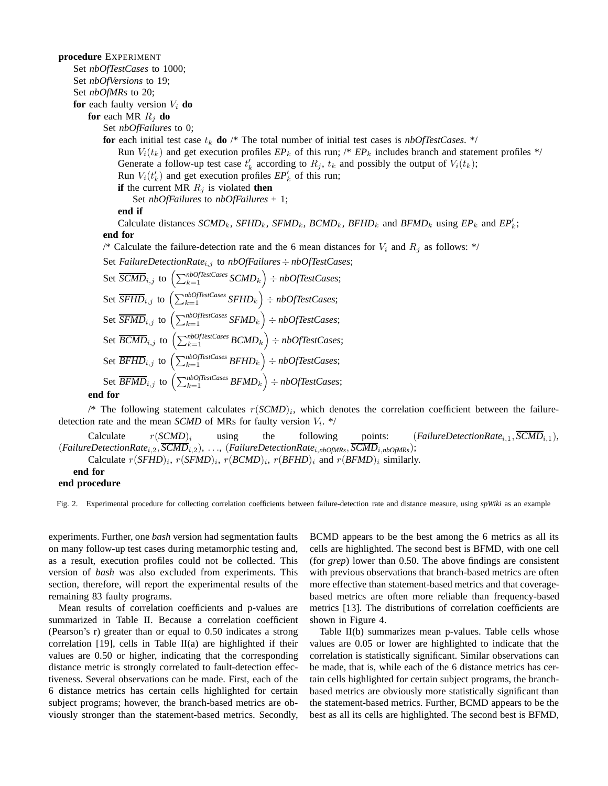#### **procedure** EXPERIMENT

Set *nbOfTestCases* to 1000;

Set *nbOfVersions* to 19;

Set *nbOfMRs* to 20;

**for** each faulty version  $V_i$  **do** 

**for** each MR  $R_i$  **do** 

Set *nbOfFailures* to 0;

**for** each initial test case  $t_k$  **do** /\* The total number of initial test cases is *nbOfTestCases*. \*/ Run  $V_i(t_k)$  and get execution profiles  $EP_k$  of this run; /\*  $EP_k$  includes branch and statement profiles \*/ Generate a follow-up test case  $t'_{k}$  according to  $R_{j}$ ,  $t_{k}$  and possibly the output of  $V_{i}(t_{k})$ ; Run  $V_i(t'_k)$  and get execution profiles  $EP'_k$  of this run; **if** the current MR  $R_i$  is violated **then** 

Set *nbOfFailures* to *nbOfFailures* + 1;

**end if**

Calculate distances  $SCMD_k$ ,  $SFHD_k$ ,  $SFMD_k$ ,  $BCMD_k$ ,  $BFHD_k$  and  $BFMD_k$  using  $EP_k$  and  $EP'_k$ ; **end for**

/\* Calculate the failure-detection rate and the 6 mean distances for  $V_i$  and  $R_j$  as follows: \*/

Set *FailureDetectionRate*i,j to *nbOfFailures*÷ *nbOfTestCases*;

Set 
$$
\overline{SCMD}_{i,j}
$$
 to  $\left(\sum_{k=1}^{nbOfTestCases} SCMD_k\right) \div nbOfTestCases$ ;  
\nSet  $\overline{SFHD}_{i,j}$  to  $\left(\sum_{k=1}^{nbOfTestCases} SFHD_k\right) \div nbOfTestCases$ ;  
\nSet  $\overline{SFMD}_{i,j}$  to  $\left(\sum_{k=1}^{nbOfTestCases} SFMD_k\right) \div nbOfTestCases$ ;  
\nSet  $\overline{BCMD}_{i,j}$  to  $\left(\sum_{k=1}^{nbOfTestCases} BCMD_k\right) \div nbOfTestCases$ ;  
\nSet  $\overline{BFHD}_{i,j}$  to  $\left(\sum_{k=1}^{nbOfTestCases} BFHD_k\right) \div nbOfTestCases$ ;  
\nSet  $\overline{BFMD}_{i,j}$  to  $\left(\sum_{k=1}^{nbOfTestCases} BFMD_k\right) \div nbOfTestCases$ ;  
\nend for

/\* The following statement calculates  $r(SCMD)_i$ , which denotes the correlation coefficient between the failuredetection rate and the mean *SCMD* of MRs for faulty version  $V_i$ . \*/

Calculate  $r(SCMD)_i$  using the following points:  $(Failure DetectionRate_{i,1}, \overline{SCMD}_{i,1}),$ (*FailureDetectionRate*i,<sup>2</sup>, *SCMD*i,<sup>2</sup>), . . ., (*FailureDetectionRate*i,*nbOfMRs*, *SCMD*i,*nbOfMRs*);

Calculate  $r(SFHD)_i$ ,  $r(SFMD)_i$ ,  $r(BCMD)_i$ ,  $r(BFHD)_i$  and  $r(BFMD)_i$  similarly.

#### **end for end procedure**

Fig. 2. Experimental procedure for collecting correlation coefficients between failure-detection rate and distance measure, using *spWiki* as an example

experiments. Further, one *bash* version had segmentation faults on many follow-up test cases during metamorphic testing and, as a result, execution profiles could not be collected. This version of *bash* was also excluded from experiments. This section, therefore, will report the experimental results of the remaining 83 faulty programs.

Mean results of correlation coefficients and p-values are summarized in Table II. Because a correlation coefficient (Pearson's r) greater than or equal to 0.50 indicates a strong correlation [19], cells in Table II(a) are highlighted if their values are 0.50 or higher, indicating that the corresponding distance metric is strongly correlated to fault-detection effectiveness. Several observations can be made. First, each of the 6 distance metrics has certain cells highlighted for certain subject programs; however, the branch-based metrics are obviously stronger than the statement-based metrics. Secondly, BCMD appears to be the best among the 6 metrics as all its cells are highlighted. The second best is BFMD, with one cell (for *grep*) lower than 0.50. The above findings are consistent with previous observations that branch-based metrics are often more effective than statement-based metrics and that coveragebased metrics are often more reliable than frequency-based metrics [13]. The distributions of correlation coefficients are shown in Figure 4.

Table II(b) summarizes mean p-values. Table cells whose values are 0.05 or lower are highlighted to indicate that the correlation is statistically significant. Similar observations can be made, that is, while each of the 6 distance metrics has certain cells highlighted for certain subject programs, the branchbased metrics are obviously more statistically significant than the statement-based metrics. Further, BCMD appears to be the best as all its cells are highlighted. The second best is BFMD,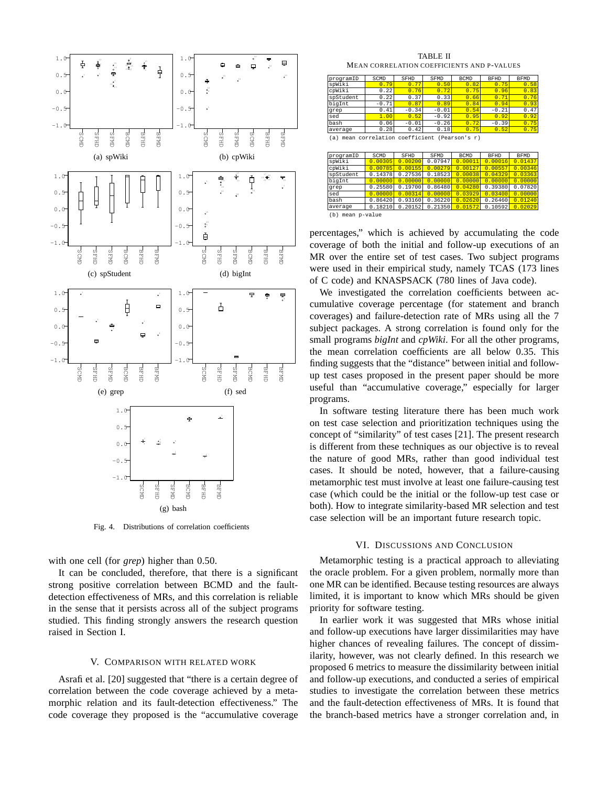

Fig. 4. Distributions of correlation coefficients

with one cell (for *grep*) higher than 0.50.

It can be concluded, therefore, that there is a significant strong positive correlation between BCMD and the faultdetection effectiveness of MRs, and this correlation is reliable in the sense that it persists across all of the subject programs studied. This finding strongly answers the research question raised in Section I.

#### V. COMPARISON WITH RELATED WORK

Asrafi et al. [20] suggested that "there is a certain degree of correlation between the code coverage achieved by a metamorphic relation and its fault-detection effectiveness." The code coverage they proposed is the "accumulative coverage

TABLE II MEAN CORRELATION COEFFICIENTS AND P-VALUES

| programID | SCMD    | <b>SFHD</b> | <b>SFMD</b> | <b>BCMD</b>                              | <b>BFHD</b> | <b>BFMD</b>            |
|-----------|---------|-------------|-------------|------------------------------------------|-------------|------------------------|
| spWiki    | 0.79    | 77          | 0.50        | 0.82                                     | 75<br>0.    | 58                     |
| cpWiki    | 0.22    | 0.76        | 0.72        | 0.75                                     | 0.96        | 0.83                   |
| spStudent | 0.22    | 0.37        | 0.33        | 0.66                                     | 71<br>0.    | 0.76                   |
| bigInt    | $-0.71$ | 87<br>0.    | 89<br>0.    | 0.84                                     | 0.94        | 0.93                   |
| grep      | 0.41    | $-0.34$     | $-0.01$     | 0.54                                     | $-0.21$     | 0.47                   |
| sed       | 1.00    | 0.52        | $-0.92$     | 0.95                                     | 0.92        | 0.92                   |
| bash      | 0.06    | $-0.01$     | $-0.26$     | 0.72                                     | $-0.39$     | .75<br>$\Omega$        |
| average   | 0.28    | 0.42        | 0.18        | 75                                       | 52<br>0.    | . 75<br>$\overline{0}$ |
| .         | .       | .           |             | <b>State Street</b><br><b>CONTRACTOR</b> |             |                        |

mean correlation coefficient (Pearson's r)

| programID           | SCMD    | SFHD    | SFMD    | <b>BCMD</b> | <b>BFHD</b> | <b>BFMD</b> |  |
|---------------------|---------|---------|---------|-------------|-------------|-------------|--|
| spWiki              | 0.00305 | 0.00200 | 0.07947 | 0.00011     | 0.00016     | 0.01437     |  |
| cpWiki              | 0.00785 | 0.00155 | 0.00279 | 0.00127     | 0.00557     | 0.00346     |  |
| spStudent           | 0.14378 | 0.27536 | 0.18523 | 0.00038     | 0.04329     | 0.03363     |  |
| bigInt              | 0.00000 | 0.00000 | 0.00000 | 0.00000     | 0.00000     | 0.00000     |  |
| qrep                | 0.25580 | 0.19700 | 0.86480 | 0.04280     | 0.39380     | 0.07820     |  |
| sed                 | 0.00000 | 0.00314 | 0.00000 | 0.03929     | 0.03400     | 0.00000     |  |
| bash                | 0.86420 | 0.93160 | 0.36220 | 0.02620     | 0.26460     | 0.01240     |  |
| average             | 0.18210 | 0.20152 | 0.21350 | 0.01572     | 0.10592     | 0.02029     |  |
| mean p-value<br>(b) |         |         |         |             |             |             |  |

percentages," which is achieved by accumulating the code coverage of both the initial and follow-up executions of an MR over the entire set of test cases. Two subject programs were used in their empirical study, namely TCAS (173 lines of C code) and KNASPSACK (780 lines of Java code).

We investigated the correlation coefficients between accumulative coverage percentage (for statement and branch coverages) and failure-detection rate of MRs using all the 7 subject packages. A strong correlation is found only for the small programs *bigInt* and *cpWiki*. For all the other programs, the mean correlation coefficients are all below 0.35. This finding suggests that the "distance" between initial and followup test cases proposed in the present paper should be more useful than "accumulative coverage," especially for larger programs.

In software testing literature there has been much work on test case selection and prioritization techniques using the concept of "similarity" of test cases [21]. The present research is different from these techniques as our objective is to reveal the nature of good MRs, rather than good individual test cases. It should be noted, however, that a failure-causing metamorphic test must involve at least one failure-causing test case (which could be the initial or the follow-up test case or both). How to integrate similarity-based MR selection and test case selection will be an important future research topic.

#### VI. DISCUSSIONS AND CONCLUSION

Metamorphic testing is a practical approach to alleviating the oracle problem. For a given problem, normally more than one MR can be identified. Because testing resources are always limited, it is important to know which MRs should be given priority for software testing.

In earlier work it was suggested that MRs whose initial and follow-up executions have larger dissimilarities may have higher chances of revealing failures. The concept of dissimilarity, however, was not clearly defined. In this research we proposed 6 metrics to measure the dissimilarity between initial and follow-up executions, and conducted a series of empirical studies to investigate the correlation between these metrics and the fault-detection effectiveness of MRs. It is found that the branch-based metrics have a stronger correlation and, in